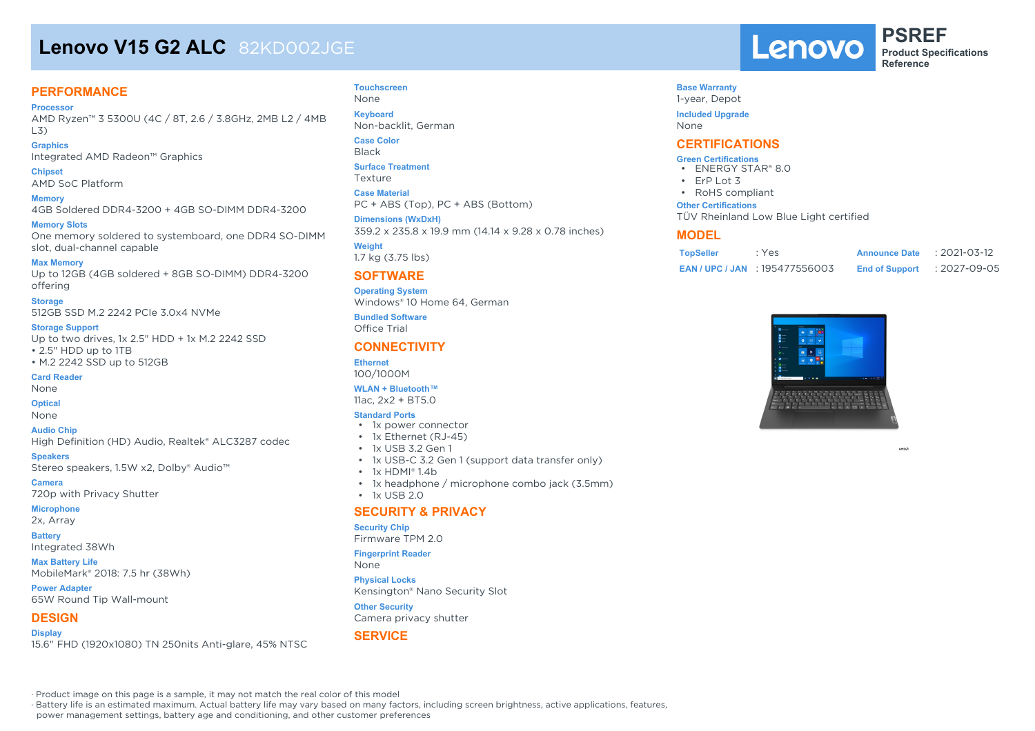# **Lenovo V15 G2 ALC** 82KD002JGE

### **PERFORMANCE**

**Processor** AMD Ryzen™ 3 5300U (4C / 8T, 2.6 / 3.8GHz, 2MB L2 / 4MB L3)

**Graphics** Integrated AMD Radeon™ Graphics

**Chipset** AMD SoC Platform

**Memory** 4GB Soldered DDR4-3200 + 4GB SO-DIMM DDR4-3200

**Memory Slots** One memory soldered to systemboard, one DDR4 SO-DIMM slot, dual-channel capable

**Max Memory** Up to 12GB (4GB soldered + 8GB SO-DIMM) DDR4-3200 offering

**Storage** 512GB SSD M.2 2242 PCIe 3.0x4 NVMe

#### **Storage Support**

Up to two drives, 1x 2.5" HDD + 1x M.2 2242 SSD • 2.5" HDD up to 1TB • M.2 2242 SSD up to 512GB

**Card Reader**

None

**Optical**

None

**Audio Chip** High Definition (HD) Audio, Realtek® ALC3287 codec

**Speakers** Stereo speakers, 1.5W x2, Dolby® Audio™

**Camera** 720p with Privacy Shutter

**Microphone** 2x, Array

**Battery**

Integrated 38Wh

**Max Battery Life** MobileMark® 2018: 7.5 hr (38Wh)

**Power Adapter** 65W Round Tip Wall-mount

#### **DESIGN**

**Display** 15.6" FHD (1920x1080) TN 250nits Anti-glare, 45% NTSC

#### **Touchscreen** None

**Keyboard** Non-backlit, German

**Case Color**

Black

**Surface Treatment** Texture

**Case Material**

PC + ABS (Top), PC + ABS (Bottom)

**Dimensions (WxDxH)** 359.2 x 235.8 x 19.9 mm (14.14 x 9.28 x 0.78 inches)

**Weight** 1.7 kg (3.75 lbs)

#### **SOFTWARE**

**Operating System** Windows® 10 Home 64, German

**Bundled Software** Office Trial

#### **CONNECTIVITY**

**Ethernet** 100/1000M

#### **WLAN + Bluetooth™**

11ac, 2x2 + BT5.0

#### **Standard Ports**

- 1x power connector
- 1x Ethernet (RJ-45)
- 1x USB 3.2 Gen 1
- 1x USB-C 3.2 Gen 1 (support data transfer only)
- 1x HDMI® 1.4b
- 1x headphone / microphone combo jack (3.5mm)
- $\cdot$  1x USB 2.0

#### **SECURITY & PRIVACY**

#### **Security Chip**

Firmware TPM 2.0

**Fingerprint Reader**

None

**Physical Locks** Kensington® Nano Security Slot

#### **Other Security**

Camera privacy shutter

#### **SERVICE**

Lenovo

**PSREF Product Specifications Reference**

#### **Base Warranty**

1-year, Depot **Included Upgrade**

None

#### **CERTIFICATIONS**

#### **Green Certifications**

- ENERGY STAR® 8.0
- ErP Lot 3
- RoHS compliant

#### **Other Certifications**

TÜV Rheinland Low Blue Light certified

#### **MODEL**

| <b>TopSeller</b> | : Yes                            | <b>Announce Date</b>  | $: 2021 - 03 - 12$ |
|------------------|----------------------------------|-----------------------|--------------------|
|                  | <b>EAN/UPC/JAN: 195477556003</b> | <b>End of Support</b> | :2027-09-05        |



**AMDZ** 

· Product image on this page is a sample, it may not match the real color of this model

· Battery life is an estimated maximum. Actual battery life may vary based on many factors, including screen brightness, active applications, features,

power management settings, battery age and conditioning, and other customer preferences